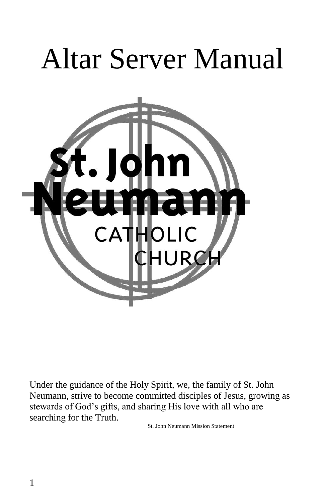# Altar Server Manual



Under the guidance of the Holy Spirit, we, the family of St. John Neumann, strive to become committed disciples of Jesus, growing as stewards of God's gifts, and sharing His love with all who are searching for the Truth.

St. John Neumann Mission Statement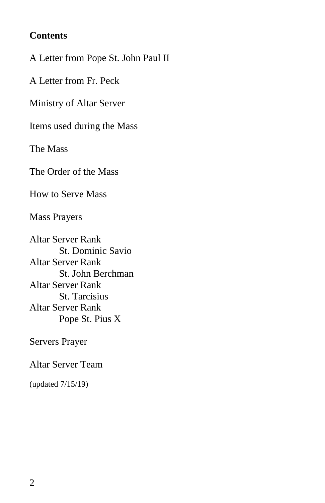#### **Contents**

A Letter from Pope St. John Paul II

A Letter from Fr. Peck

Ministry of Altar Server

Items used during the Mass

The Mass

The Order of the Mass

How to Serve Mass

Mass Prayers

Altar Server Rank St. Dominic Savio Altar Server Rank St. John Berchman Altar Server Rank St. Tarcisius Altar Server Rank Pope St. Pius X

Servers Prayer

Altar Server Team

(updated 7/15/19)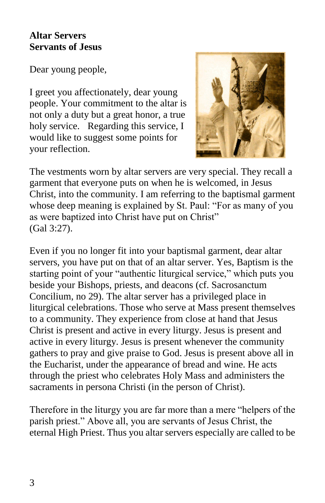#### **Altar Servers Servants of Jesus**

Dear young people,

I greet you affectionately, dear young people. Your commitment to the altar is not only a duty but a great honor, a true holy service. Regarding this service, I would like to suggest some points for your reflection.



The vestments worn by altar servers are very special. They recall a garment that everyone puts on when he is welcomed, in Jesus Christ, into the community. I am referring to the baptismal garment whose deep meaning is explained by St. Paul: "For as many of you as were baptized into Christ have put on Christ" (Gal 3:27).

Even if you no longer fit into your baptismal garment, dear altar servers, you have put on that of an altar server. Yes, Baptism is the starting point of your "authentic liturgical service," which puts you beside your Bishops, priests, and deacons (cf. Sacrosanctum Concilium, no 29). The altar server has a privileged place in liturgical celebrations. Those who serve at Mass present themselves to a community. They experience from close at hand that Jesus Christ is present and active in every liturgy. Jesus is present and active in every liturgy. Jesus is present whenever the community gathers to pray and give praise to God. Jesus is present above all in the Eucharist, under the appearance of bread and wine. He acts through the priest who celebrates Holy Mass and administers the sacraments in persona Christi (in the person of Christ).

Therefore in the liturgy you are far more than a mere "helpers of the parish priest." Above all, you are servants of Jesus Christ, the eternal High Priest. Thus you altar servers especially are called to be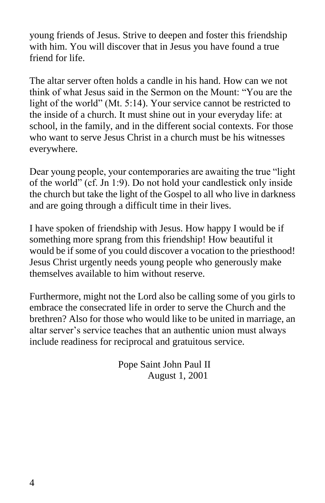young friends of Jesus. Strive to deepen and foster this friendship with him. You will discover that in Jesus you have found a true friend for life.

The altar server often holds a candle in his hand. How can we not think of what Jesus said in the Sermon on the Mount: "You are the light of the world" (Mt. 5:14). Your service cannot be restricted to the inside of a church. It must shine out in your everyday life: at school, in the family, and in the different social contexts. For those who want to serve Jesus Christ in a church must be his witnesses everywhere.

Dear young people, your contemporaries are awaiting the true "light of the world" (cf. Jn 1:9). Do not hold your candlestick only inside the church but take the light of the Gospel to all who live in darkness and are going through a difficult time in their lives.

I have spoken of friendship with Jesus. How happy I would be if something more sprang from this friendship! How beautiful it would be if some of you could discover a vocation to the priesthood! Jesus Christ urgently needs young people who generously make themselves available to him without reserve.

Furthermore, might not the Lord also be calling some of you girls to embrace the consecrated life in order to serve the Church and the brethren? Also for those who would like to be united in marriage, an altar server's service teaches that an authentic union must always include readiness for reciprocal and gratuitous service.

> Pope Saint John Paul II August 1, 2001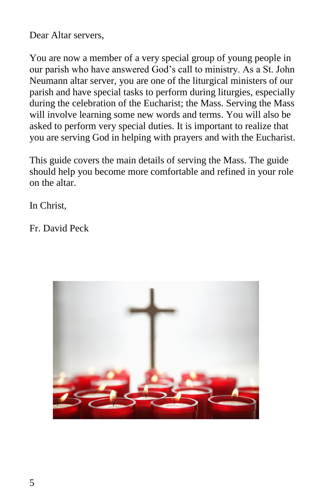Dear Altar servers,

You are now a member of a very special group of young people in our parish who have answered God's call to ministry. As a St. John Neumann altar server, you are one of the liturgical ministers of our parish and have special tasks to perform during liturgies, especially during the celebration of the Eucharist; the Mass. Serving the Mass will involve learning some new words and terms. You will also be asked to perform very special duties. It is important to realize that you are serving God in helping with prayers and with the Eucharist.

This guide covers the main details of serving the Mass. The guide should help you become more comfortable and refined in your role on the altar.

In Christ,

Fr. David Peck

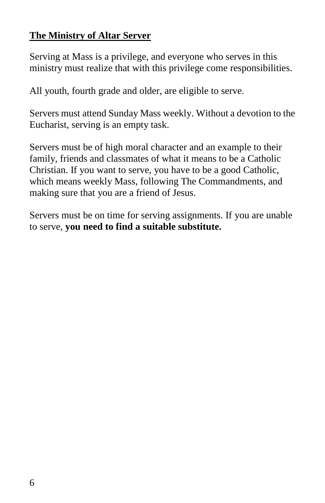## **The Ministry of Altar Server**

Serving at Mass is a privilege, and everyone who serves in this ministry must realize that with this privilege come responsibilities.

All youth, fourth grade and older, are eligible to serve.

Servers must attend Sunday Mass weekly. Without a devotion to the Eucharist, serving is an empty task.

Servers must be of high moral character and an example to their family, friends and classmates of what it means to be a Catholic Christian. If you want to serve, you have to be a good Catholic, which means weekly Mass, following The Commandments, and making sure that you are a friend of Jesus.

Servers must be on time for serving assignments. If you are unable to serve, **you need to find a suitable substitute.**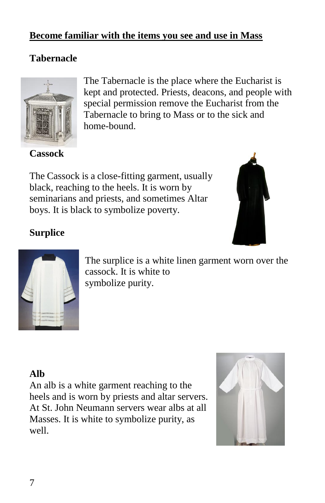#### **Become familiar with the items you see and use in Mass**

#### **Tabernacle**



**Cassock** 

The Tabernacle is the place where the Eucharist is kept and protected. Priests, deacons, and people with special permission remove the Eucharist from the Tabernacle to bring to Mass or to the sick and home-bound.

The Cassock is a close-fitting garment, usually black, reaching to the heels. It is worn by seminarians and priests, and sometimes Altar boys. It is black to symbolize poverty.



## **Surplice**



The surplice is a white linen garment worn over the cassock. It is white to symbolize purity.

## **Alb**

An alb is a white garment reaching to the heels and is worn by priests and altar servers. At St. John Neumann servers wear albs at all Masses. It is white to symbolize purity, as well.

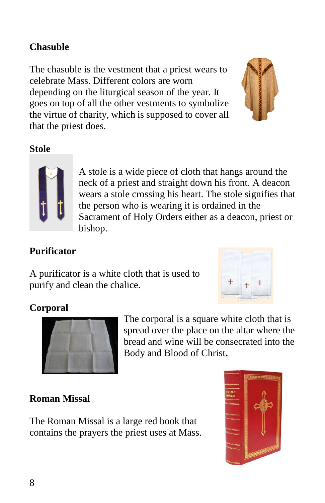## **Chasuble**

The chasuble is the vestment that a priest wears to celebrate Mass. Different colors are worn depending on the liturgical season of the year. It goes on top of all the other vestments to symbolize the virtue of charity, which is supposed to cover all that the priest does.



#### **Stole**



A stole is a wide piece of cloth that hangs around the neck of a priest and straight down his front. A deacon wears a stole crossing his heart. The stole signifies that the person who is wearing it is ordained in the Sacrament of Holy Orders either as a deacon, priest or bishop.

#### **Purificator**

A purificator is a white cloth that is used to purify and clean the chalice.



#### **Corporal**



The corporal is a square white cloth that is spread over the place on the altar where the bread and wine will be consecrated into the Body and Blood of Christ**.**

#### **Roman Missal**

The Roman Missal is a large red book that contains the prayers the priest uses at Mass.

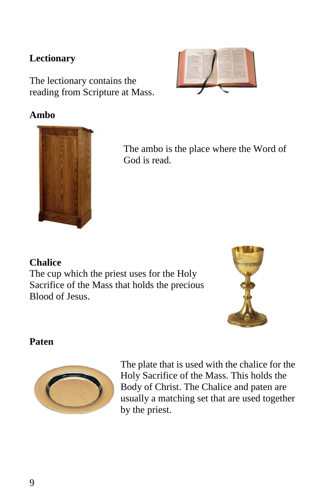#### **Lectionary**

The lectionary contains the reading from Scripture at Mass.

## **Ambo**



The ambo is the place where the Word of God is read.

#### **Chalice**

The cup which the priest uses for the Holy Sacrifice of the Mass that holds the precious Blood of Jesus.



#### **Paten**



The plate that is used with the chalice for the Holy Sacrifice of the Mass. This holds the Body of Christ. The Chalice and paten are usually a matching set that are used together by the priest.

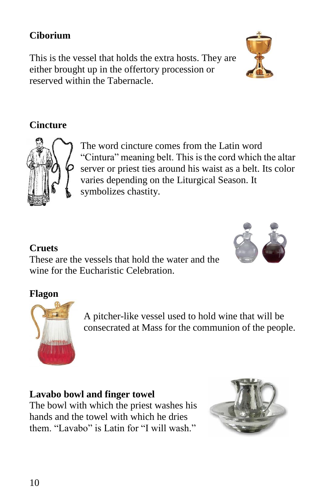## **Ciborium**

This is the vessel that holds the extra hosts. They are either brought up in the offertory procession or reserved within the Tabernacle.

## **Cincture**



The word cincture comes from the Latin word "Cintura" meaning belt. This is the cord which the altar server or priest ties around his waist as a belt. Its color varies depending on the Liturgical Season. It symbolizes chastity.

## **Cruets**

These are the vessels that hold the water and the wine for the Eucharistic Celebration.

## **Flagon**



A pitcher-like vessel used to hold wine that will be consecrated at Mass for the communion of the people.

## **Lavabo bowl and finger towel**

The bowl with which the priest washes his hands and the towel with which he dries them. "Lavabo" is Latin for "I will wash."



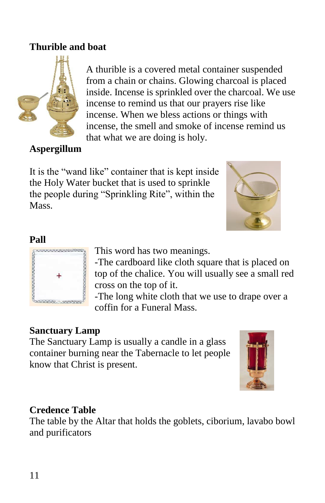## **Thurible and boat**



A thurible is a covered metal container suspended from a chain or chains. Glowing charcoal is placed inside. Incense is sprinkled over the charcoal. We use incense to remind us that our prayers rise like incense. When we bless actions or things with incense, the smell and smoke of incense remind us that what we are doing is holy.

#### **Aspergillum**

It is the "wand like" container that is kept inside the Holy Water bucket that is used to sprinkle the people during "Sprinkling Rite", within the Mass.



#### **Pall**



This word has two meanings.

-The cardboard like cloth square that is placed on top of the chalice. You will usually see a small red cross on the top of it.

-The long white cloth that we use to drape over a coffin for a Funeral Mass.

#### **Sanctuary Lamp**

The Sanctuary Lamp is usually a candle in a glass container burning near the Tabernacle to let people know that Christ is present.



#### **Credence Table**

The table by the Altar that holds the goblets, ciborium, lavabo bowl and purificators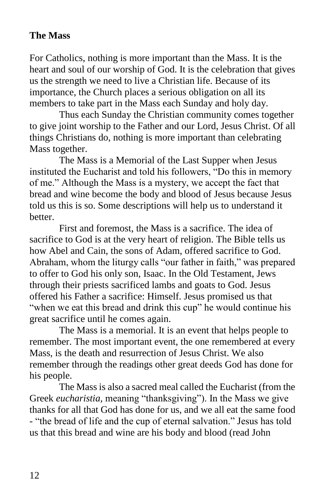#### **The Mass**

For Catholics, nothing is more important than the Mass. It is the heart and soul of our worship of God. It is the celebration that gives us the strength we need to live a Christian life. Because of its importance, the Church places a serious obligation on all its members to take part in the Mass each Sunday and holy day.

Thus each Sunday the Christian community comes together to give joint worship to the Father and our Lord, Jesus Christ. Of all things Christians do, nothing is more important than celebrating Mass together.

The Mass is a Memorial of the Last Supper when Jesus instituted the Eucharist and told his followers, "Do this in memory of me." Although the Mass is a mystery, we accept the fact that bread and wine become the body and blood of Jesus because Jesus told us this is so. Some descriptions will help us to understand it better.

First and foremost, the Mass is a sacrifice. The idea of sacrifice to God is at the very heart of religion. The Bible tells us how Abel and Cain, the sons of Adam, offered sacrifice to God. Abraham, whom the liturgy calls "our father in faith," was prepared to offer to God his only son, Isaac. In the Old Testament, Jews through their priests sacrificed lambs and goats to God. Jesus offered his Father a sacrifice: Himself. Jesus promised us that "when we eat this bread and drink this cup" he would continue his great sacrifice until he comes again.

The Mass is a memorial. It is an event that helps people to remember. The most important event, the one remembered at every Mass, is the death and resurrection of Jesus Christ. We also remember through the readings other great deeds God has done for his people.

The Mass is also a sacred meal called the Eucharist (from the Greek *eucharistia,* meaning "thanksgiving"). In the Mass we give thanks for all that God has done for us, and we all eat the same food - "the bread of life and the cup of eternal salvation." Jesus has told us that this bread and wine are his body and blood (read John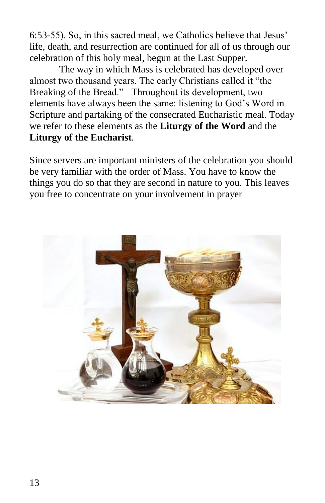6:53-55). So, in this sacred meal, we Catholics believe that Jesus' life, death, and resurrection are continued for all of us through our celebration of this holy meal, begun at the Last Supper.

The way in which Mass is celebrated has developed over almost two thousand years. The early Christians called it "the Breaking of the Bread." Throughout its development, two elements have always been the same: listening to God's Word in Scripture and partaking of the consecrated Eucharistic meal. Today we refer to these elements as the **Liturgy of the Word** and the **Liturgy of the Eucharist**.

Since servers are important ministers of the celebration you should be very familiar with the order of Mass. You have to know the things you do so that they are second in nature to you. This leaves you free to concentrate on your involvement in prayer

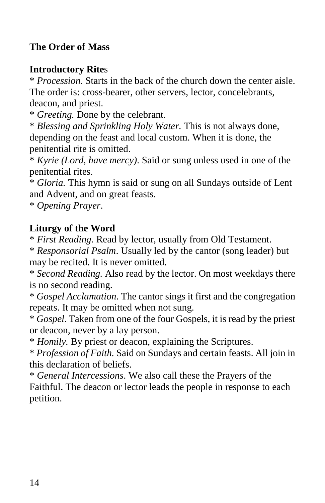## **The Order of Mass**

#### **Introductory Rite**s

\* *Procession*. Starts in the back of the church down the center aisle. The order is: cross-bearer, other servers, lector, concelebrants, deacon, and priest.

\* *Greeting.* Done by the celebrant.

\* *Blessing and Sprinkling Holy Water.* This is not always done, depending on the feast and local custom. When it is done, the penitential rite is omitted.

\* *Kyrie (Lord, have mercy)*. Said or sung unless used in one of the penitential rites.

\* *Gloria.* This hymn is said or sung on all Sundays outside of Lent and Advent, and on great feasts.

\* *Opening Prayer*.

#### **Liturgy of the Word**

\* *First Reading.* Read by lector, usually from Old Testament.

\* *Responsorial Psalm*. Usually led by the cantor (song leader) but may be recited. It is never omitted.

\* *Second Reading.* Also read by the lector. On most weekdays there is no second reading.

\* *Gospel Acclamation*. The cantor sings it first and the congregation repeats. It may be omitted when not sung.

\* *Gospel*. Taken from one of the four Gospels, it is read by the priest or deacon, never by a lay person.

\* *Homily.* By priest or deacon, explaining the Scriptures.

\* *Profession of Faith.* Said on Sundays and certain feasts. All join in this declaration of beliefs.

\* *General Intercessions*. We also call these the Prayers of the Faithful. The deacon or lector leads the people in response to each petition.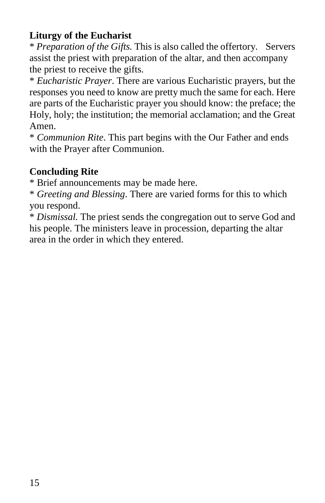## **Liturgy of the Eucharist**

\* *Preparation of the Gifts.* This is also called the offertory. Servers assist the priest with preparation of the altar, and then accompany the priest to receive the gifts.

\* *Eucharistic Prayer*. There are various Eucharistic prayers, but the responses you need to know are pretty much the same for each. Here are parts of the Eucharistic prayer you should know: the preface; the Holy, holy; the institution; the memorial acclamation; and the Great Amen.

\* *Communion Rite*. This part begins with the Our Father and ends with the Prayer after Communion.

#### **Concluding Rite**

\* Brief announcements may be made here.

\* *Greeting and Blessing*. There are varied forms for this to which you respond.

\* *Dismissal.* The priest sends the congregation out to serve God and his people. The ministers leave in procession, departing the altar area in the order in which they entered.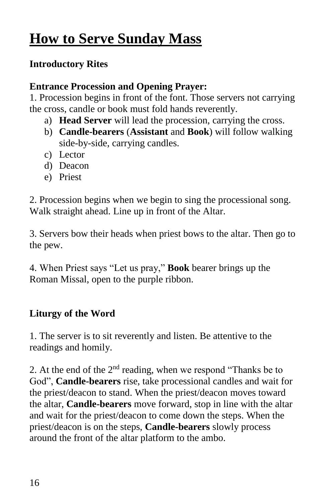# **How to Serve Sunday Mass**

## **Introductory Rites**

## **Entrance Procession and Opening Prayer:**

1. Procession begins in front of the font. Those servers not carrying the cross, candle or book must fold hands reverently.

- a) **Head Server** will lead the procession, carrying the cross.
- b) **Candle-bearers** (**Assistant** and **Book**) will follow walking side-by-side, carrying candles.
- c) Lector
- d) Deacon
- e) Priest

2. Procession begins when we begin to sing the processional song. Walk straight ahead. Line up in front of the Altar.

3. Servers bow their heads when priest bows to the altar. Then go to the pew.

4. When Priest says "Let us pray," **Book** bearer brings up the Roman Missal, open to the purple ribbon.

## **Liturgy of the Word**

1. The server is to sit reverently and listen. Be attentive to the readings and homily.

2. At the end of the  $2<sup>nd</sup>$  reading, when we respond "Thanks be to God", **Candle-bearers** rise, take processional candles and wait for the priest/deacon to stand. When the priest/deacon moves toward the altar, **Candle-bearers** move forward, stop in line with the altar and wait for the priest/deacon to come down the steps. When the priest/deacon is on the steps, **Candle-bearers** slowly process around the front of the altar platform to the ambo.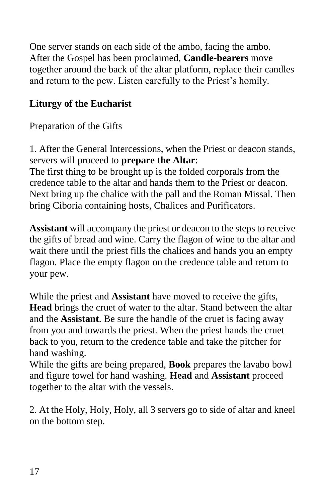One server stands on each side of the ambo, facing the ambo. After the Gospel has been proclaimed, **Candle-bearers** move together around the back of the altar platform, replace their candles and return to the pew. Listen carefully to the Priest's homily.

## **Liturgy of the Eucharist**

Preparation of the Gifts

1. After the General Intercessions, when the Priest or deacon stands, servers will proceed to **prepare the Altar**:

The first thing to be brought up is the folded corporals from the credence table to the altar and hands them to the Priest or deacon. Next bring up the chalice with the pall and the Roman Missal. Then bring Ciboria containing hosts, Chalices and Purificators.

**Assistant** will accompany the priest or deacon to the steps to receive the gifts of bread and wine. Carry the flagon of wine to the altar and wait there until the priest fills the chalices and hands you an empty flagon. Place the empty flagon on the credence table and return to your pew.

While the priest and **Assistant** have moved to receive the gifts, **Head** brings the cruet of water to the altar. Stand between the altar and the **Assistant**. Be sure the handle of the cruet is facing away from you and towards the priest. When the priest hands the cruet back to you, return to the credence table and take the pitcher for hand washing.

While the gifts are being prepared, **Book** prepares the lavabo bowl and figure towel for hand washing. **Head** and **Assistant** proceed together to the altar with the vessels.

2. At the Holy, Holy, Holy, all 3 servers go to side of altar and kneel on the bottom step.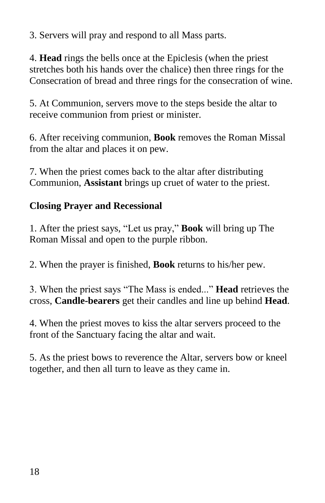3. Servers will pray and respond to all Mass parts.

4. **Head** rings the bells once at the Epiclesis (when the priest stretches both his hands over the chalice) then three rings for the Consecration of bread and three rings for the consecration of wine.

5. At Communion, servers move to the steps beside the altar to receive communion from priest or minister.

6. After receiving communion, **Book** removes the Roman Missal from the altar and places it on pew.

7. When the priest comes back to the altar after distributing Communion, **Assistant** brings up cruet of water to the priest.

## **Closing Prayer and Recessional**

1. After the priest says, "Let us pray," **Book** will bring up The Roman Missal and open to the purple ribbon.

2. When the prayer is finished, **Book** returns to his/her pew.

3. When the priest says "The Mass is ended..." **Head** retrieves the cross, **Candle-bearers** get their candles and line up behind **Head**.

4. When the priest moves to kiss the altar servers proceed to the front of the Sanctuary facing the altar and wait.

5. As the priest bows to reverence the Altar, servers bow or kneel together, and then all turn to leave as they came in.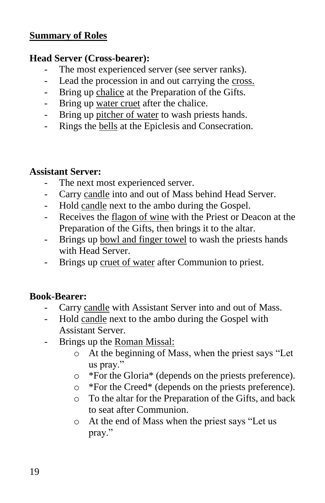#### **Summary of Roles**

#### **Head Server (Cross-bearer):**

- The most experienced server (see server ranks).
- Lead the procession in and out carrying the cross.
- Bring up chalice at the Preparation of the Gifts.
- Bring up water cruet after the chalice.
- Bring up pitcher of water to wash priests hands.
- Rings the bells at the Epiclesis and Consecration.

#### **Assistant Server:**

- The next most experienced server.
- Carry candle into and out of Mass behind Head Server.
- Hold candle next to the ambo during the Gospel.
- Receives the flagon of wine with the Priest or Deacon at the Preparation of the Gifts, then brings it to the altar.
- Brings up bowl and finger towel to wash the priests hands with Head Server.
- Brings up cruet of water after Communion to priest.

#### **Book-Bearer:**

- Carry candle with Assistant Server into and out of Mass.
- Hold candle next to the ambo during the Gospel with Assistant Server.
- Brings up the Roman Missal:
	- o At the beginning of Mass, when the priest says "Let us pray."
	- o \*For the Gloria\* (depends on the priests preference).
	- o \*For the Creed\* (depends on the priests preference).
	- o To the altar for the Preparation of the Gifts, and back to seat after Communion.
	- o At the end of Mass when the priest says "Let us pray."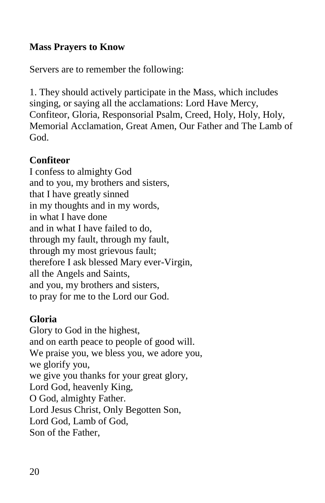#### **Mass Prayers to Know**

Servers are to remember the following:

1. They should actively participate in the Mass, which includes singing, or saying all the acclamations: Lord Have Mercy, Confiteor, Gloria, Responsorial Psalm, Creed, Holy, Holy, Holy, Memorial Acclamation, Great Amen, Our Father and The Lamb of God.

#### **Confiteor**

I confess to almighty God and to you, my brothers and sisters, that I have greatly sinned in my thoughts and in my words, in what I have done and in what I have failed to do, through my fault, through my fault, through my most grievous fault; therefore I ask blessed Mary ever-Virgin, all the Angels and Saints, and you, my brothers and sisters, to pray for me to the Lord our God.

#### **Gloria**

Glory to God in the highest, and on earth peace to people of good will. We praise you, we bless you, we adore you, we glorify you, we give you thanks for your great glory, Lord God, heavenly King, O God, almighty Father. Lord Jesus Christ, Only Begotten Son, Lord God, Lamb of God, Son of the Father,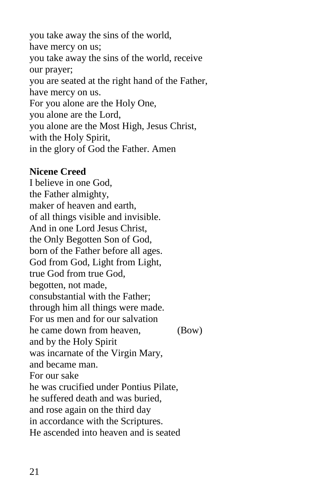you take away the sins of the world, have mercy on us; you take away the sins of the world, receive our prayer; you are seated at the right hand of the Father, have mercy on us. For you alone are the Holy One, you alone are the Lord, you alone are the Most High, Jesus Christ, with the Holy Spirit, in the glory of God the Father. Amen

#### **Nicene Creed**

I believe in one God, the Father almighty, maker of heaven and earth, of all things visible and invisible. And in one Lord Jesus Christ, the Only Begotten Son of God, born of the Father before all ages. God from God, Light from Light, true God from true God, begotten, not made, consubstantial with the Father; through him all things were made. For us men and for our salvation he came down from heaven, (Bow) and by the Holy Spirit was incarnate of the Virgin Mary, and became man. For our sake he was crucified under Pontius Pilate, he suffered death and was buried, and rose again on the third day in accordance with the Scriptures. He ascended into heaven and is seated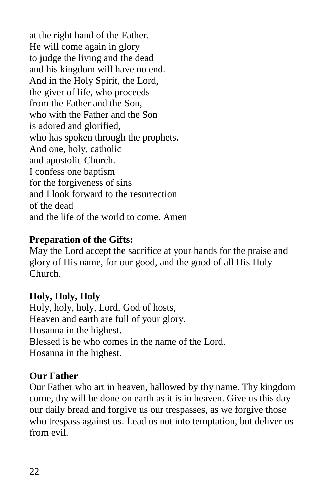at the right hand of the Father. He will come again in glory to judge the living and the dead and his kingdom will have no end. And in the Holy Spirit, the Lord, the giver of life, who proceeds from the Father and the Son, who with the Father and the Son is adored and glorified, who has spoken through the prophets. And one, holy, catholic and apostolic Church. I confess one baptism for the forgiveness of sins and I look forward to the resurrection of the dead and the life of the world to come. Amen

#### **Preparation of the Gifts:**

May the Lord accept the sacrifice at your hands for the praise and glory of His name, for our good, and the good of all His Holy Church.

#### **Holy, Holy, Holy**

Holy, holy, holy, Lord, God of hosts, Heaven and earth are full of your glory. Hosanna in the highest. Blessed is he who comes in the name of the Lord. Hosanna in the highest.

#### **Our Father**

Our Father who art in heaven, hallowed by thy name. Thy kingdom come, thy will be done on earth as it is in heaven. Give us this day our daily bread and forgive us our trespasses, as we forgive those who trespass against us. Lead us not into temptation, but deliver us from evil.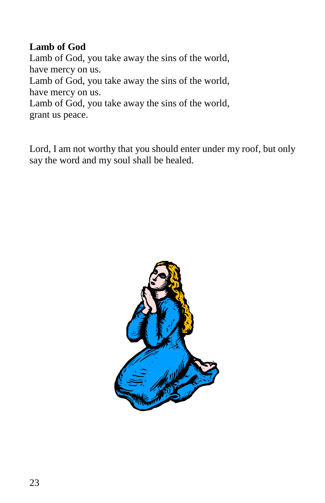## **Lamb of God**

Lamb of God, you take away the sins of the world, have mercy on us. Lamb of God, you take away the sins of the world, have mercy on us. Lamb of God, you take away the sins of the world, grant us peace.

Lord, I am not worthy that you should enter under my roof, but only say the word and my soul shall be healed.

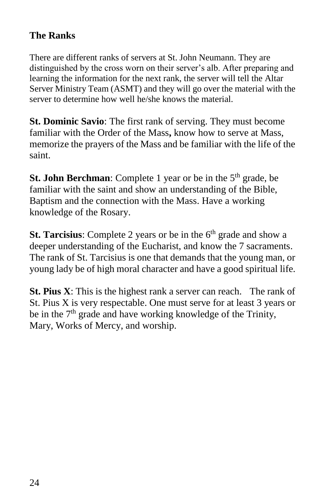## **The Ranks**

There are different ranks of servers at St. John Neumann. They are distinguished by the cross worn on their server's alb. After preparing and learning the information for the next rank, the server will tell the Altar Server Ministry Team (ASMT) and they will go over the material with the server to determine how well he/she knows the material.

**St. Dominic Savio**: The first rank of serving. They must become familiar with the Order of the Mass**,** know how to serve at Mass, memorize the prayers of the Mass and be familiar with the life of the saint.

**St. John Berchman**: Complete 1 year or be in the 5<sup>th</sup> grade, be familiar with the saint and show an understanding of the Bible, Baptism and the connection with the Mass. Have a working knowledge of the Rosary.

**St. Tarcisius**: Complete 2 years or be in the 6<sup>th</sup> grade and show a deeper understanding of the Eucharist, and know the 7 sacraments. The rank of St. Tarcisius is one that demands that the young man, or young lady be of high moral character and have a good spiritual life.

**St. Pius X**: This is the highest rank a server can reach. The rank of St. Pius X is very respectable. One must serve for at least 3 years or be in the  $7<sup>th</sup>$  grade and have working knowledge of the Trinity, Mary, Works of Mercy, and worship.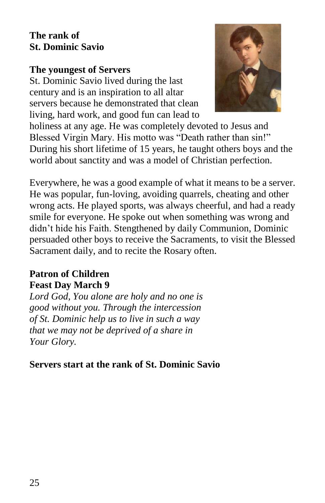#### **The rank of St. Dominic Savio**

#### **The youngest of Servers**

St. Dominic Savio lived during the last century and is an inspiration to all altar servers because he demonstrated that clean living, hard work, and good fun can lead to



holiness at any age. He was completely devoted to Jesus and Blessed Virgin Mary. His motto was "Death rather than sin!" During his short lifetime of 15 years, he taught others boys and the world about sanctity and was a model of Christian perfection.

Everywhere, he was a good example of what it means to be a server. He was popular, fun-loving, avoiding quarrels, cheating and other wrong acts. He played sports, was always cheerful, and had a ready smile for everyone. He spoke out when something was wrong and didn't hide his Faith. Stengthened by daily Communion, Dominic persuaded other boys to receive the Sacraments, to visit the Blessed Sacrament daily, and to recite the Rosary often.

#### **Patron of Children Feast Day March 9**

*Lord God, You alone are holy and no one is good without you. Through the intercession of St. Dominic help us to live in such a way that we may not be deprived of a share in Your Glory.*

**Servers start at the rank of St. Dominic Savio**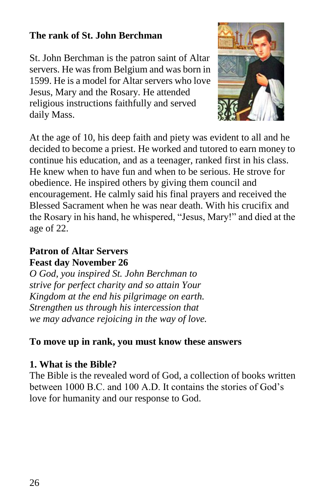#### **The rank of St. John Berchman**

St. John Berchman is the patron saint of Altar servers. He was from Belgium and was born in 1599. He is a model for Altar servers who love Jesus, Mary and the Rosary. He attended religious instructions faithfully and served daily Mass.



At the age of 10, his deep faith and piety was evident to all and he decided to become a priest. He worked and tutored to earn money to continue his education, and as a teenager, ranked first in his class. He knew when to have fun and when to be serious. He strove for obedience. He inspired others by giving them council and encouragement. He calmly said his final prayers and received the Blessed Sacrament when he was near death. With his crucifix and the Rosary in his hand, he whispered, "Jesus, Mary!" and died at the age of 22.

#### **Patron of Altar Servers Feast day November 26**

*O God, you inspired St. John Berchman to strive for perfect charity and so attain Your Kingdom at the end his pilgrimage on earth. Strengthen us through his intercession that we may advance rejoicing in the way of love.*

## **To move up in rank, you must know these answers**

## **1. What is the Bible?**

The Bible is the revealed word of God, a collection of books written between 1000 B.C. and 100 A.D. It contains the stories of God's love for humanity and our response to God.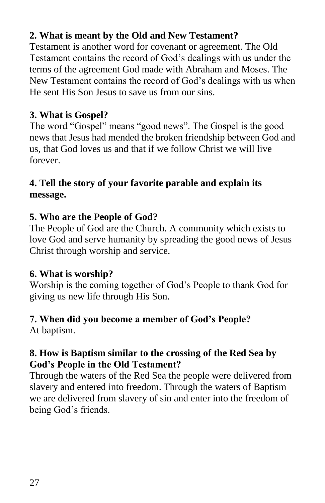## **2. What is meant by the Old and New Testament?**

Testament is another word for covenant or agreement. The Old Testament contains the record of God's dealings with us under the terms of the agreement God made with Abraham and Moses. The New Testament contains the record of God's dealings with us when He sent His Son Jesus to save us from our sins.

## **3. What is Gospel?**

The word "Gospel" means "good news". The Gospel is the good news that Jesus had mended the broken friendship between God and us, that God loves us and that if we follow Christ we will live forever.

## **4. Tell the story of your favorite parable and explain its message.**

## **5. Who are the People of God?**

The People of God are the Church. A community which exists to love God and serve humanity by spreading the good news of Jesus Christ through worship and service.

## **6. What is worship?**

Worship is the coming together of God's People to thank God for giving us new life through His Son.

# **7. When did you become a member of God's People?**

At baptism.

## **8. How is Baptism similar to the crossing of the Red Sea by God's People in the Old Testament?**

Through the waters of the Red Sea the people were delivered from slavery and entered into freedom. Through the waters of Baptism we are delivered from slavery of sin and enter into the freedom of being God's friends.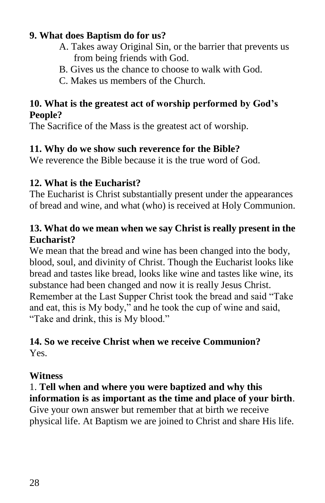#### **9. What does Baptism do for us?**

- A. Takes away Original Sin, or the barrier that prevents us from being friends with God.
- B. Gives us the chance to choose to walk with God.
- C. Makes us members of the Church.

#### **10. What is the greatest act of worship performed by God's People?**

The Sacrifice of the Mass is the greatest act of worship.

## **11. Why do we show such reverence for the Bible?**

We reverence the Bible because it is the true word of God.

## **12. What is the Eucharist?**

The Eucharist is Christ substantially present under the appearances of bread and wine, and what (who) is received at Holy Communion.

#### **13. What do we mean when we say Christ is really present in the Eucharist?**

We mean that the bread and wine has been changed into the body, blood, soul, and divinity of Christ. Though the Eucharist looks like bread and tastes like bread, looks like wine and tastes like wine, its substance had been changed and now it is really Jesus Christ. Remember at the Last Supper Christ took the bread and said "Take and eat, this is My body," and he took the cup of wine and said, "Take and drink, this is My blood."

#### **14. So we receive Christ when we receive Communion?** Yes.

## **Witness**

## 1. **Tell when and where you were baptized and why this information is as important as the time and place of your birth**.

Give your own answer but remember that at birth we receive physical life. At Baptism we are joined to Christ and share His life.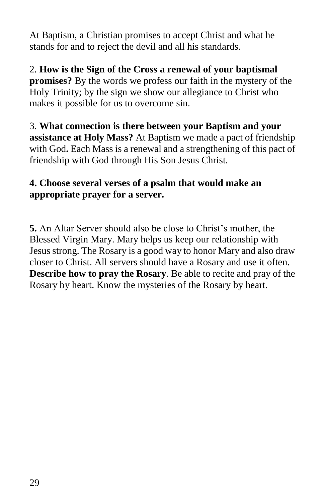At Baptism, a Christian promises to accept Christ and what he stands for and to reject the devil and all his standards.

2. **How is the Sign of the Cross a renewal of your baptismal promises?** By the words we profess our faith in the mystery of the Holy Trinity; by the sign we show our allegiance to Christ who makes it possible for us to overcome sin.

3. **What connection is there between your Baptism and your assistance at Holy Mass?** At Baptism we made a pact of friendship with God**.** Each Mass is a renewal and a strengthening of this pact of friendship with God through His Son Jesus Christ.

## **4. Choose several verses of a psalm that would make an appropriate prayer for a server.**

**5.** An Altar Server should also be close to Christ's mother, the Blessed Virgin Mary. Mary helps us keep our relationship with Jesus strong. The Rosary is a good way to honor Mary and also draw closer to Christ. All servers should have a Rosary and use it often. **Describe how to pray the Rosary**. Be able to recite and pray of the Rosary by heart. Know the mysteries of the Rosary by heart.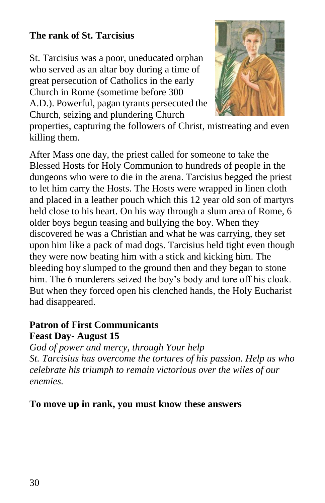## **The rank of St. Tarcisius**

St. Tarcisius was a poor, uneducated orphan who served as an altar boy during a time of great persecution of Catholics in the early Church in Rome (sometime before 300 A.D.). Powerful, pagan tyrants persecuted the Church, seizing and plundering Church



properties, capturing the followers of Christ, mistreating and even killing them.

After Mass one day, the priest called for someone to take the Blessed Hosts for Holy Communion to hundreds of people in the dungeons who were to die in the arena. Tarcisius begged the priest to let him carry the Hosts. The Hosts were wrapped in linen cloth and placed in a leather pouch which this 12 year old son of martyrs held close to his heart. On his way through a slum area of Rome, 6 older boys begun teasing and bullying the boy. When they discovered he was a Christian and what he was carrying, they set upon him like a pack of mad dogs. Tarcisius held tight even though they were now beating him with a stick and kicking him. The bleeding boy slumped to the ground then and they began to stone him. The 6 murderers seized the boy's body and tore off his cloak. But when they forced open his clenched hands, the Holy Eucharist had disappeared.

#### **Patron of First Communicants Feast Day- August 15**

*God of power and mercy, through Your help St. Tarcisius has overcome the tortures of his passion. Help us who celebrate his triumph to remain victorious over the wiles of our enemies.*

#### **To move up in rank, you must know these answers**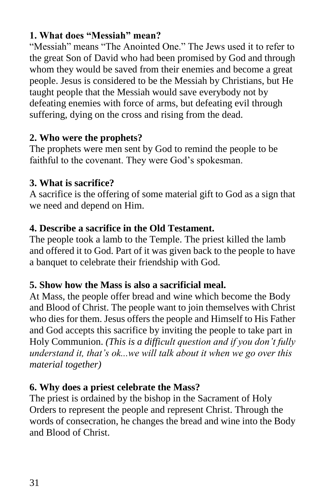#### **1. What does "Messiah" mean?**

"Messiah" means "The Anointed One." The Jews used it to refer to the great Son of David who had been promised by God and through whom they would be saved from their enemies and become a great people. Jesus is considered to be the Messiah by Christians, but He taught people that the Messiah would save everybody not by defeating enemies with force of arms, but defeating evil through suffering, dying on the cross and rising from the dead.

## **2. Who were the prophets?**

The prophets were men sent by God to remind the people to be faithful to the covenant. They were God's spokesman.

## **3. What is sacrifice?**

A sacrifice is the offering of some material gift to God as a sign that we need and depend on Him.

## **4. Describe a sacrifice in the Old Testament.**

The people took a lamb to the Temple. The priest killed the lamb and offered it to God. Part of it was given back to the people to have a banquet to celebrate their friendship with God.

## **5. Show how the Mass is also a sacrificial meal.**

At Mass, the people offer bread and wine which become the Body and Blood of Christ. The people want to join themselves with Christ who dies for them. Jesus offers the people and Himself to His Father and God accepts this sacrifice by inviting the people to take part in Holy Communion. *(This is a difficult question and if you don't fully understand it, that's ok...we will talk about it when we go over this material together)*

## **6. Why does a priest celebrate the Mass?**

The priest is ordained by the bishop in the Sacrament of Holy Orders to represent the people and represent Christ. Through the words of consecration, he changes the bread and wine into the Body and Blood of Christ.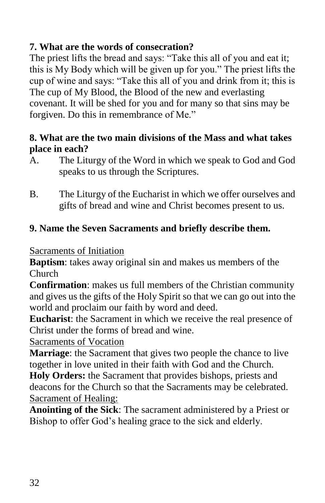## **7. What are the words of consecration?**

The priest lifts the bread and says: "Take this all of you and eat it; this is My Body which will be given up for you." The priest lifts the cup of wine and says: "Take this all of you and drink from it; this is The cup of My Blood, the Blood of the new and everlasting covenant. It will be shed for you and for many so that sins may be forgiven. Do this in remembrance of Me."

#### **8. What are the two main divisions of the Mass and what takes place in each?**

- A. The Liturgy of the Word in which we speak to God and God speaks to us through the Scriptures.
- B. The Liturgy of the Eucharist in which we offer ourselves and gifts of bread and wine and Christ becomes present to us.

## **9. Name the Seven Sacraments and briefly describe them.**

Sacraments of Initiation

**Baptism**: takes away original sin and makes us members of the Church

**Confirmation**: makes us full members of the Christian community and gives us the gifts of the Holy Spirit so that we can go out into the world and proclaim our faith by word and deed.

**Eucharist**: the Sacrament in which we receive the real presence of Christ under the forms of bread and wine.

Sacraments of Vocation

**Marriage**: the Sacrament that gives two people the chance to live together in love united in their faith with God and the Church.

**Holy Orders:** the Sacrament that provides bishops, priests and deacons for the Church so that the Sacraments may be celebrated. Sacrament of Healing:

**Anointing of the Sick**: The sacrament administered by a Priest or Bishop to offer God's healing grace to the sick and elderly.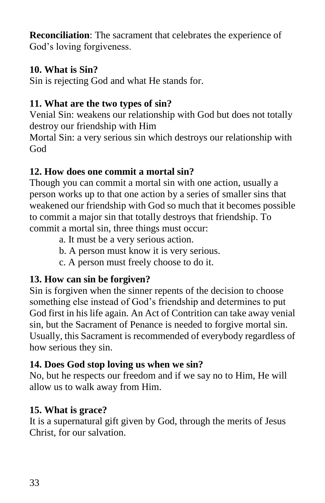**Reconciliation**: The sacrament that celebrates the experience of God's loving forgiveness.

## **10. What is Sin?**

Sin is rejecting God and what He stands for.

## **11. What are the two types of sin?**

Venial Sin: weakens our relationship with God but does not totally destroy our friendship with Him

Mortal Sin: a very serious sin which destroys our relationship with God

## **12. How does one commit a mortal sin?**

Though you can commit a mortal sin with one action, usually a person works up to that one action by a series of smaller sins that weakened our friendship with God so much that it becomes possible to commit a major sin that totally destroys that friendship. To commit a mortal sin, three things must occur:

- a. It must be a very serious action.
- b. A person must know it is very serious.
- c. A person must freely choose to do it.

## **13. How can sin be forgiven?**

Sin is forgiven when the sinner repents of the decision to choose something else instead of God's friendship and determines to put God first in his life again. An Act of Contrition can take away venial sin, but the Sacrament of Penance is needed to forgive mortal sin. Usually, this Sacrament is recommended of everybody regardless of how serious they sin.

## **14. Does God stop loving us when we sin?**

No, but he respects our freedom and if we say no to Him, He will allow us to walk away from Him.

## **15. What is grace?**

It is a supernatural gift given by God, through the merits of Jesus Christ, for our salvation.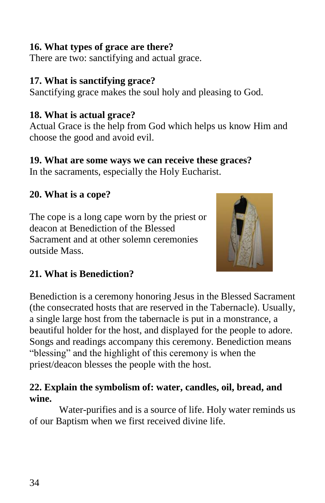#### **16. What types of grace are there?**

There are two: sanctifying and actual grace.

#### **17. What is sanctifying grace?**

Sanctifying grace makes the soul holy and pleasing to God.

## **18. What is actual grace?**

Actual Grace is the help from God which helps us know Him and choose the good and avoid evil.

## **19. What are some ways we can receive these graces?**

In the sacraments, especially the Holy Eucharist.

## **20. What is a cope?**

The cope is a long cape worn by the priest or deacon at Benediction of the Blessed Sacrament and at other solemn ceremonies outside Mass.



## **21. What is Benediction?**

Benediction is a ceremony honoring Jesus in the Blessed Sacrament (the consecrated hosts that are reserved in the Tabernacle). Usually, a single large host from the tabernacle is put in a monstrance, a beautiful holder for the host, and displayed for the people to adore. Songs and readings accompany this ceremony. Benediction means "blessing" and the highlight of this ceremony is when the priest/deacon blesses the people with the host.

## **22. Explain the symbolism of: water, candles, oil, bread, and wine.**

Water-purifies and is a source of life. Holy water reminds us of our Baptism when we first received divine life.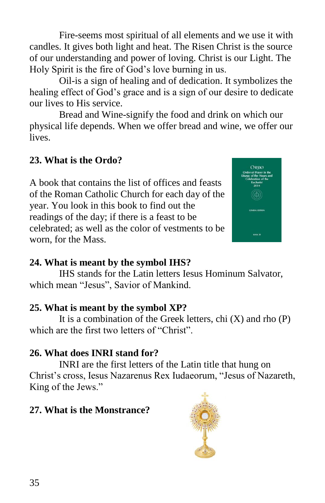Fire-seems most spiritual of all elements and we use it with candles. It gives both light and heat. The Risen Christ is the source of our understanding and power of loving. Christ is our Light. The Holy Spirit is the fire of God's love burning in us.

Oil-is a sign of healing and of dedication. It symbolizes the healing effect of God's grace and is a sign of our desire to dedicate our lives to His service.

Bread and Wine-signify the food and drink on which our physical life depends. When we offer bread and wine, we offer our lives.

## **23. What is the Ordo?**

A book that contains the list of offices and feasts of the Roman Catholic Church for each day of the year. You look in this book to find out the readings of the day; if there is a feast to be celebrated; as well as the color of vestments to be worn, for the Mass.



## **24. What is meant by the symbol IHS?**

IHS stands for the Latin letters Iesus Hominum Salvator, which mean "Jesus", Savior of Mankind.

## **25. What is meant by the symbol XP?**

It is a combination of the Greek letters, chi  $(X)$  and rho  $(P)$ which are the first two letters of "Christ".

## **26. What does INRI stand for?**

INRI are the first letters of the Latin title that hung on Christ's cross, Iesus Nazarenus Rex Iudaeorum, "Jesus of Nazareth, King of the Jews."

## **27. What is the Monstrance?**

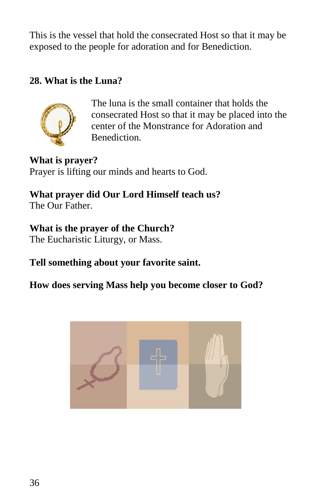This is the vessel that hold the consecrated Host so that it may be exposed to the people for adoration and for Benediction.

#### **28. What is the Luna?**



The luna is the small container that holds the consecrated Host so that it may be placed into the center of the Monstrance for Adoration and Benediction.

**What is prayer?** Prayer is lifting our minds and hearts to God.

**What prayer did Our Lord Himself teach us?** The Our Father.

#### **What is the prayer of the Church?**

The Eucharistic Liturgy, or Mass.

## **Tell something about your favorite saint.**

## **How does serving Mass help you become closer to God?**

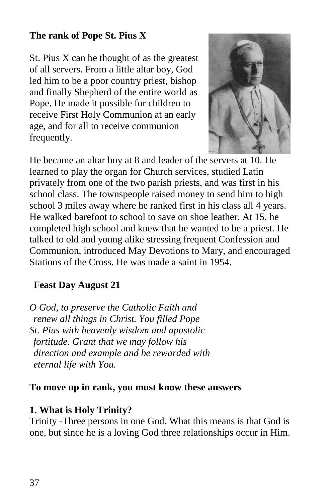#### **The rank of Pope St. Pius X**

St. Pius X can be thought of as the greatest of all servers. From a little altar boy, God led him to be a poor country priest, bishop and finally Shepherd of the entire world as Pope. He made it possible for children to receive First Holy Communion at an early age, and for all to receive communion frequently.



He became an altar boy at 8 and leader of the servers at 10. He learned to play the organ for Church services, studied Latin privately from one of the two parish priests, and was first in his school class. The townspeople raised money to send him to high school 3 miles away where he ranked first in his class all 4 years. He walked barefoot to school to save on shoe leather. At 15, he completed high school and knew that he wanted to be a priest. He talked to old and young alike stressing frequent Confession and Communion, introduced May Devotions to Mary, and encouraged Stations of the Cross. He was made a saint in 1954.

#### **Feast Day August 21**

*O God, to preserve the Catholic Faith and renew all things in Christ. You filled Pope St. Pius with heavenly wisdom and apostolic fortitude. Grant that we may follow his direction and example and be rewarded with eternal life with You.*

#### **To move up in rank, you must know these answers**

#### **1. What is Holy Trinity?**

Trinity -Three persons in one God. What this means is that God is one, but since he is a loving God three relationships occur in Him.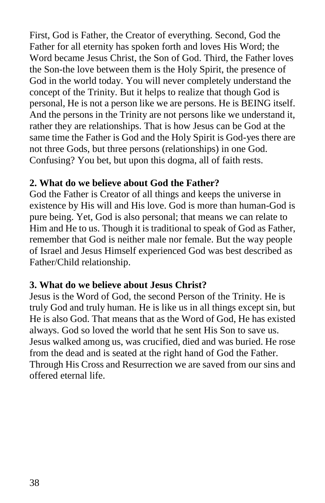First, God is Father, the Creator of everything. Second, God the Father for all eternity has spoken forth and loves His Word; the Word became Jesus Christ, the Son of God. Third, the Father loves the Son-the love between them is the Holy Spirit, the presence of God in the world today. You will never completely understand the concept of the Trinity. But it helps to realize that though God is personal, He is not a person like we are persons. He is BEING itself. And the persons in the Trinity are not persons like we understand it, rather they are relationships. That is how Jesus can be God at the same time the Father is God and the Holy Spirit is God-yes there are not three Gods, but three persons (relationships) in one God. Confusing? You bet, but upon this dogma, all of faith rests.

#### **2. What do we believe about God the Father?**

God the Father is Creator of all things and keeps the universe in existence by His will and His love. God is more than human-God is pure being. Yet, God is also personal; that means we can relate to Him and He to us. Though it is traditional to speak of God as Father, remember that God is neither male nor female. But the way people of Israel and Jesus Himself experienced God was best described as Father/Child relationship.

## **3. What do we believe about Jesus Christ?**

Jesus is the Word of God, the second Person of the Trinity. He is truly God and truly human. He is like us in all things except sin, but He is also God. That means that as the Word of God, He has existed always. God so loved the world that he sent His Son to save us. Jesus walked among us, was crucified, died and was buried. He rose from the dead and is seated at the right hand of God the Father. Through His Cross and Resurrection we are saved from our sins and offered eternal life.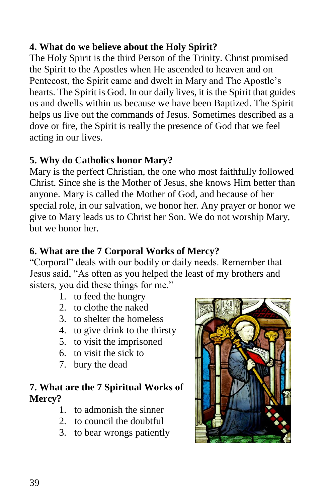## **4. What do we believe about the Holy Spirit?**

The Holy Spirit is the third Person of the Trinity. Christ promised the Spirit to the Apostles when He ascended to heaven and on Pentecost, the Spirit came and dwelt in Mary and The Apostle's hearts. The Spirit is God. In our daily lives, it is the Spirit that guides us and dwells within us because we have been Baptized. The Spirit helps us live out the commands of Jesus. Sometimes described as a dove or fire, the Spirit is really the presence of God that we feel acting in our lives.

#### **5. Why do Catholics honor Mary?**

Mary is the perfect Christian, the one who most faithfully followed Christ. Since she is the Mother of Jesus, she knows Him better than anyone. Mary is called the Mother of God, and because of her special role, in our salvation, we honor her. Any prayer or honor we give to Mary leads us to Christ her Son. We do not worship Mary, but we honor her.

#### **6. What are the 7 Corporal Works of Mercy?**

"Corporal" deals with our bodily or daily needs. Remember that Jesus said, "As often as you helped the least of my brothers and sisters, you did these things for me."

- 1. to feed the hungry
- 2. to clothe the naked
- 3. to shelter the homeless
- 4. to give drink to the thirsty
- 5. to visit the imprisoned
- 6. to visit the sick to
- 7. bury the dead

#### **7. What are the 7 Spiritual Works of Mercy?**

- 1. to admonish the sinner
- 2. to council the doubtful
- 3. to bear wrongs patiently

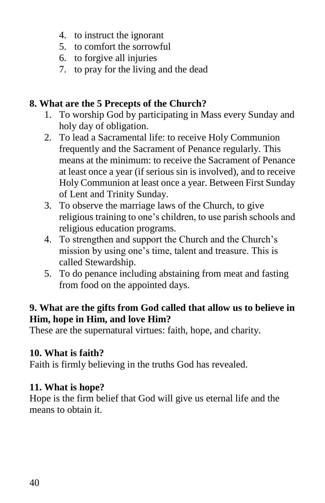- 4. to instruct the ignorant
- 5. to comfort the sorrowful
- 6. to forgive all injuries
- 7. to pray for the living and the dead

## **8. What are the 5 Precepts of the Church?**

- 1. To worship God by participating in Mass every Sunday and holy day of obligation.
- 2. To lead a Sacramental life: to receive Holy Communion frequently and the Sacrament of Penance regularly. This means at the minimum: to receive the Sacrament of Penance at least once a year (if serious sin is involved), and to receive Holy Communion at least once a year. Between First Sunday of Lent and Trinity Sunday.
- 3. To observe the marriage laws of the Church, to give religious training to one's children, to use parish schools and religious education programs.
- 4. To strengthen and support the Church and the Church's mission by using one's time, talent and treasure. This is called Stewardship.
- 5. To do penance including abstaining from meat and fasting from food on the appointed days.

## **9. What are the gifts from God called that allow us to believe in Him, hope in Him, and love Him?**

These are the supernatural virtues: faith, hope, and charity.

## **10. What is faith?**

Faith is firmly believing in the truths God has revealed.

## **11. What is hope?**

Hope is the firm belief that God will give us eternal life and the means to obtain it.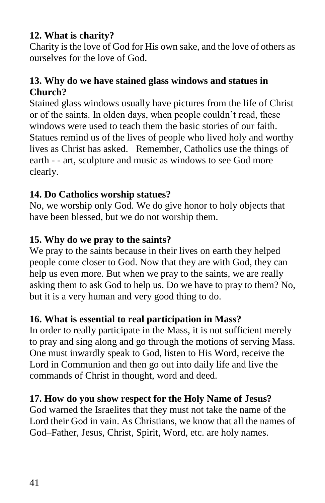#### **12. What is charity?**

Charity is the love of God for His own sake, and the love of others as ourselves for the love of God.

#### **13. Why do we have stained glass windows and statues in Church?**

Stained glass windows usually have pictures from the life of Christ or of the saints. In olden days, when people couldn't read, these windows were used to teach them the basic stories of our faith. Statues remind us of the lives of people who lived holy and worthy lives as Christ has asked. Remember, Catholics use the things of earth - - art, sculpture and music as windows to see God more clearly.

#### **14. Do Catholics worship statues?**

No, we worship only God. We do give honor to holy objects that have been blessed, but we do not worship them.

#### **15. Why do we pray to the saints?**

We pray to the saints because in their lives on earth they helped people come closer to God. Now that they are with God, they can help us even more. But when we pray to the saints, we are really asking them to ask God to help us. Do we have to pray to them? No, but it is a very human and very good thing to do.

#### **16. What is essential to real participation in Mass?**

In order to really participate in the Mass, it is not sufficient merely to pray and sing along and go through the motions of serving Mass. One must inwardly speak to God, listen to His Word, receive the Lord in Communion and then go out into daily life and live the commands of Christ in thought, word and deed.

#### **17. How do you show respect for the Holy Name of Jesus?**

God warned the Israelites that they must not take the name of the Lord their God in vain. As Christians, we know that all the names of God–Father, Jesus, Christ, Spirit, Word, etc. are holy names.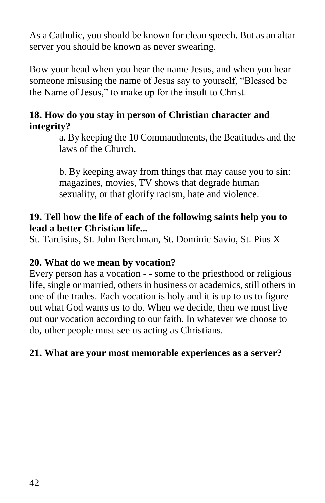As a Catholic, you should be known for clean speech. But as an altar server you should be known as never swearing.

Bow your head when you hear the name Jesus, and when you hear someone misusing the name of Jesus say to yourself, "Blessed be the Name of Jesus," to make up for the insult to Christ.

#### **18. How do you stay in person of Christian character and integrity?**

a. By keeping the 10 Commandments, the Beatitudes and the laws of the Church.

b. By keeping away from things that may cause you to sin: magazines, movies, TV shows that degrade human sexuality, or that glorify racism, hate and violence.

#### **19. Tell how the life of each of the following saints help you to lead a better Christian life...**

St. Tarcisius, St. John Berchman, St. Dominic Savio, St. Pius X

#### **20. What do we mean by vocation?**

Every person has a vocation - - some to the priesthood or religious life, single or married, others in business or academics, still others in one of the trades. Each vocation is holy and it is up to us to figure out what God wants us to do. When we decide, then we must live out our vocation according to our faith. In whatever we choose to do, other people must see us acting as Christians.

## **21. What are your most memorable experiences as a server?**